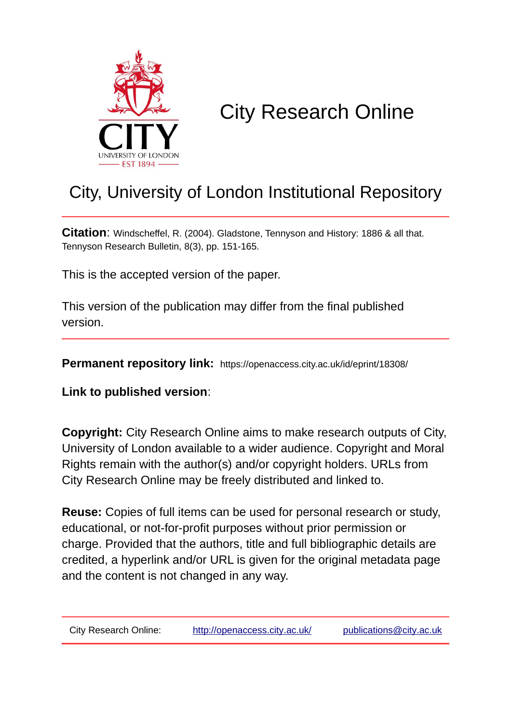

## City Research Online

## City, University of London Institutional Repository

**Citation**: Windscheffel, R. (2004). Gladstone, Tennyson and History: 1886 & all that. Tennyson Research Bulletin, 8(3), pp. 151-165.

This is the accepted version of the paper.

This version of the publication may differ from the final published version.

**Permanent repository link:** https://openaccess.city.ac.uk/id/eprint/18308/

**Link to published version**:

**Copyright:** City Research Online aims to make research outputs of City, University of London available to a wider audience. Copyright and Moral Rights remain with the author(s) and/or copyright holders. URLs from City Research Online may be freely distributed and linked to.

**Reuse:** Copies of full items can be used for personal research or study, educational, or not-for-profit purposes without prior permission or charge. Provided that the authors, title and full bibliographic details are credited, a hyperlink and/or URL is given for the original metadata page and the content is not changed in any way.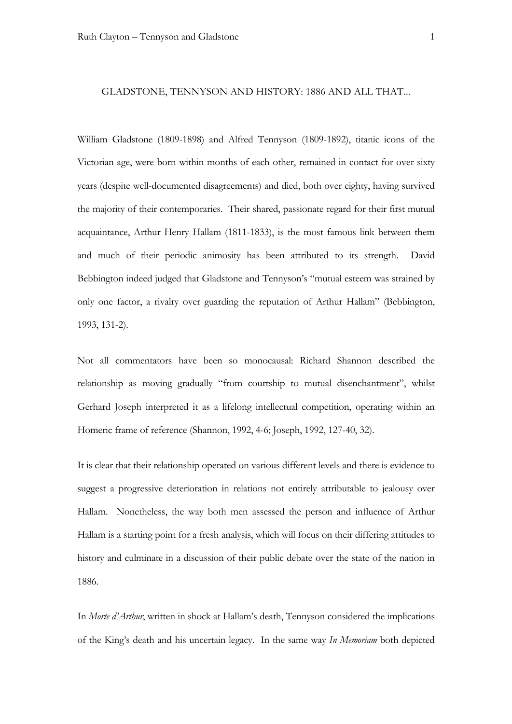## GLADSTONE, TENNYSON AND HISTORY: 1886 AND ALL THAT...

William Gladstone (1809-1898) and Alfred Tennyson (1809-1892), titanic icons of the Victorian age, were born within months of each other, remained in contact for over sixty years (despite well-documented disagreements) and died, both over eighty, having survived the majority of their contemporaries. Their shared, passionate regard for their first mutual acquaintance, Arthur Henry Hallam (1811-1833), is the most famous link between them and much of their periodic animosity has been attributed to its strength. David Bebbington indeed judged that Gladstone and Tennyson's "mutual esteem was strained by only one factor, a rivalry over guarding the reputation of Arthur Hallam" (Bebbington, 1993, 131-2).

Not all commentators have been so monocausal: Richard Shannon described the relationship as moving gradually "from courtship to mutual disenchantment", whilst Gerhard Joseph interpreted it as a lifelong intellectual competition, operating within an Homeric frame of reference (Shannon, 1992, 4-6; Joseph, 1992, 127-40, 32).

It is clear that their relationship operated on various different levels and there is evidence to suggest a progressive deterioration in relations not entirely attributable to jealousy over Hallam. Nonetheless, the way both men assessed the person and influence of Arthur Hallam is a starting point for a fresh analysis, which will focus on their differing attitudes to history and culminate in a discussion of their public debate over the state of the nation in 1886.

In *Morte d'Arthur*, written in shock at Hallam's death, Tennyson considered the implications of the King's death and his uncertain legacy. In the same way *In Memoriam* both depicted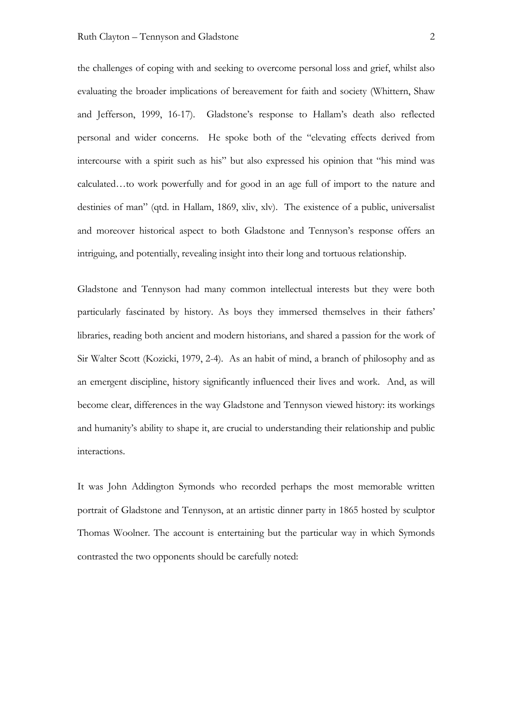the challenges of coping with and seeking to overcome personal loss and grief, whilst also evaluating the broader implications of bereavement for faith and society (Whittern, Shaw and Jefferson, 1999, 16-17). Gladstone's response to Hallam's death also reflected personal and wider concerns. He spoke both of the "elevating effects derived from intercourse with a spirit such as his" but also expressed his opinion that "his mind was calculated…to work powerfully and for good in an age full of import to the nature and destinies of man" (qtd. in Hallam, 1869, xliv, xlv). The existence of a public, universalist and moreover historical aspect to both Gladstone and Tennyson's response offers an intriguing, and potentially, revealing insight into their long and tortuous relationship.

Gladstone and Tennyson had many common intellectual interests but they were both particularly fascinated by history. As boys they immersed themselves in their fathers' libraries, reading both ancient and modern historians, and shared a passion for the work of Sir Walter Scott (Kozicki, 1979, 2-4). As an habit of mind, a branch of philosophy and as an emergent discipline, history significantly influenced their lives and work. And, as will become clear, differences in the way Gladstone and Tennyson viewed history: its workings and humanity's ability to shape it, are crucial to understanding their relationship and public interactions.

It was John Addington Symonds who recorded perhaps the most memorable written portrait of Gladstone and Tennyson, at an artistic dinner party in 1865 hosted by sculptor Thomas Woolner. The account is entertaining but the particular way in which Symonds contrasted the two opponents should be carefully noted: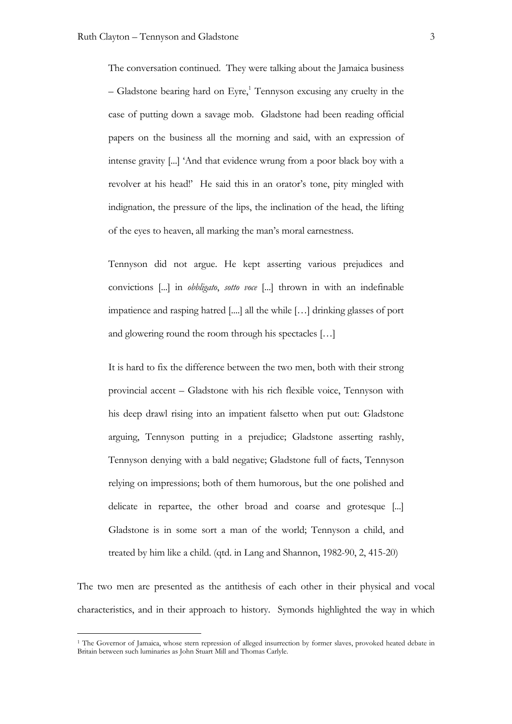The conversation continued. They were talking about the Jamaica business – Gladstone bearing hard on Eyre,<sup>1</sup> Tennyson excusing any cruelty in the case of putting down a savage mob. Gladstone had been reading official papers on the business all the morning and said, with an expression of intense gravity [...] 'And that evidence wrung from a poor black boy with a revolver at his head!' He said this in an orator's tone, pity mingled with indignation, the pressure of the lips, the inclination of the head, the lifting of the eyes to heaven, all marking the man's moral earnestness.

Tennyson did not argue. He kept asserting various prejudices and convictions [...] in *obbligato*, *sotto voce* [...] thrown in with an indefinable impatience and rasping hatred [....] all the while […] drinking glasses of port and glowering round the room through his spectacles […]

It is hard to fix the difference between the two men, both with their strong provincial accent – Gladstone with his rich flexible voice, Tennyson with his deep drawl rising into an impatient falsetto when put out: Gladstone arguing, Tennyson putting in a prejudice; Gladstone asserting rashly, Tennyson denying with a bald negative; Gladstone full of facts, Tennyson relying on impressions; both of them humorous, but the one polished and delicate in repartee, the other broad and coarse and grotesque [...] Gladstone is in some sort a man of the world; Tennyson a child, and treated by him like a child. (qtd. in Lang and Shannon, 1982-90, 2, 415-20)

The two men are presented as the antithesis of each other in their physical and vocal characteristics, and in their approach to history. Symonds highlighted the way in which

 <sup>1</sup> The Governor of Jamaica, whose stern repression of alleged insurrection by former slaves, provoked heated debate in Britain between such luminaries as John Stuart Mill and Thomas Carlyle.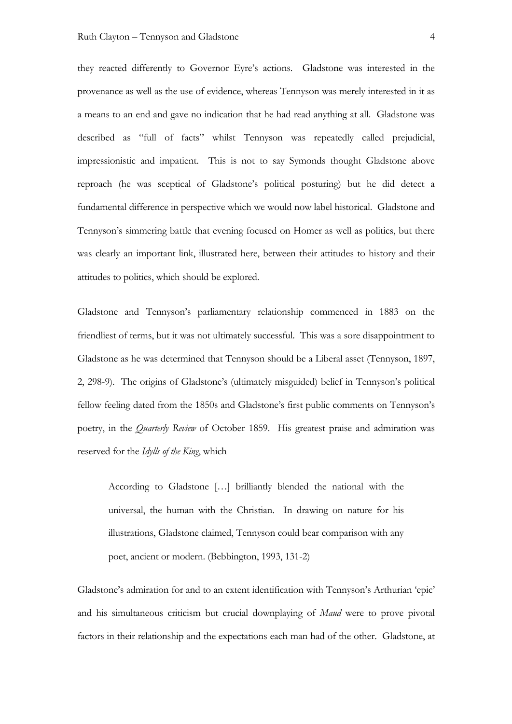they reacted differently to Governor Eyre's actions. Gladstone was interested in the provenance as well as the use of evidence, whereas Tennyson was merely interested in it as a means to an end and gave no indication that he had read anything at all. Gladstone was described as "full of facts" whilst Tennyson was repeatedly called prejudicial, impressionistic and impatient. This is not to say Symonds thought Gladstone above reproach (he was sceptical of Gladstone's political posturing) but he did detect a fundamental difference in perspective which we would now label historical. Gladstone and Tennyson's simmering battle that evening focused on Homer as well as politics, but there was clearly an important link, illustrated here, between their attitudes to history and their attitudes to politics, which should be explored.

Gladstone and Tennyson's parliamentary relationship commenced in 1883 on the friendliest of terms, but it was not ultimately successful. This was a sore disappointment to Gladstone as he was determined that Tennyson should be a Liberal asset (Tennyson, 1897, 2, 298-9). The origins of Gladstone's (ultimately misguided) belief in Tennyson's political fellow feeling dated from the 1850s and Gladstone's first public comments on Tennyson's poetry, in the *Quarterly Review* of October 1859. His greatest praise and admiration was reserved for the *Idylls of the King*, which

According to Gladstone […] brilliantly blended the national with the universal, the human with the Christian. In drawing on nature for his illustrations, Gladstone claimed, Tennyson could bear comparison with any poet, ancient or modern. (Bebbington, 1993, 131-2)

Gladstone's admiration for and to an extent identification with Tennyson's Arthurian 'epic' and his simultaneous criticism but crucial downplaying of *Maud* were to prove pivotal factors in their relationship and the expectations each man had of the other. Gladstone, at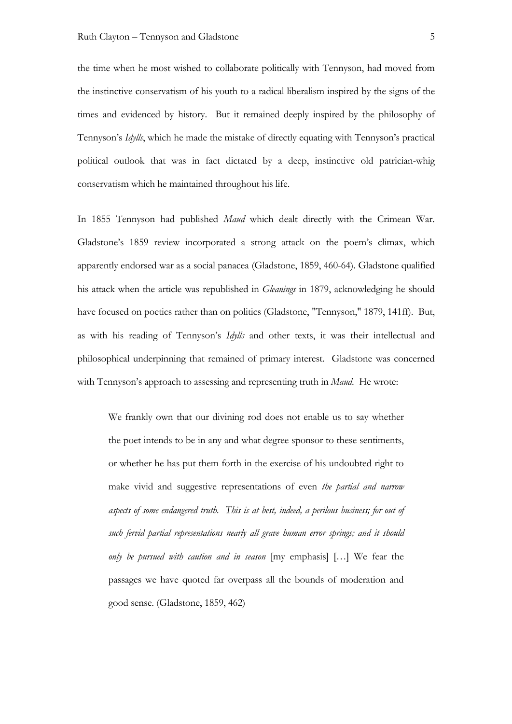the time when he most wished to collaborate politically with Tennyson, had moved from the instinctive conservatism of his youth to a radical liberalism inspired by the signs of the times and evidenced by history. But it remained deeply inspired by the philosophy of Tennyson's *Idylls*, which he made the mistake of directly equating with Tennyson's practical political outlook that was in fact dictated by a deep, instinctive old patrician-whig conservatism which he maintained throughout his life.

In 1855 Tennyson had published *Maud* which dealt directly with the Crimean War. Gladstone's 1859 review incorporated a strong attack on the poem's climax, which apparently endorsed war as a social panacea (Gladstone, 1859, 460-64). Gladstone qualified his attack when the article was republished in *Gleanings* in 1879, acknowledging he should have focused on poetics rather than on politics (Gladstone, "Tennyson," 1879, 141ff). But, as with his reading of Tennyson's *Idylls* and other texts, it was their intellectual and philosophical underpinning that remained of primary interest. Gladstone was concerned with Tennyson's approach to assessing and representing truth in *Maud*. He wrote:

We frankly own that our divining rod does not enable us to say whether the poet intends to be in any and what degree sponsor to these sentiments, or whether he has put them forth in the exercise of his undoubted right to make vivid and suggestive representations of even *the partial and narrow aspects of some endangered truth. This is at best, indeed, a perilous business; for out of such fervid partial representations nearly all grave human error springs; and it should only be pursued with caution and in season* [my emphasis] […] We fear the passages we have quoted far overpass all the bounds of moderation and good sense. (Gladstone, 1859, 462)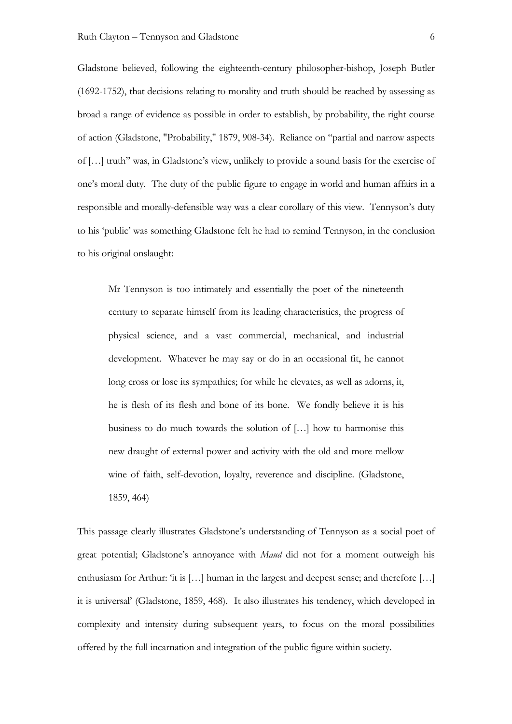Gladstone believed, following the eighteenth-century philosopher-bishop, Joseph Butler (1692-1752), that decisions relating to morality and truth should be reached by assessing as broad a range of evidence as possible in order to establish, by probability, the right course of action (Gladstone, "Probability," 1879, 908-34). Reliance on "partial and narrow aspects of […] truth" was, in Gladstone's view, unlikely to provide a sound basis for the exercise of one's moral duty. The duty of the public figure to engage in world and human affairs in a responsible and morally-defensible way was a clear corollary of this view. Tennyson's duty to his 'public' was something Gladstone felt he had to remind Tennyson, in the conclusion to his original onslaught:

Mr Tennyson is too intimately and essentially the poet of the nineteenth century to separate himself from its leading characteristics, the progress of physical science, and a vast commercial, mechanical, and industrial development. Whatever he may say or do in an occasional fit, he cannot long cross or lose its sympathies; for while he elevates, as well as adorns, it, he is flesh of its flesh and bone of its bone. We fondly believe it is his business to do much towards the solution of […] how to harmonise this new draught of external power and activity with the old and more mellow wine of faith, self-devotion, loyalty, reverence and discipline. (Gladstone, 1859, 464)

This passage clearly illustrates Gladstone's understanding of Tennyson as a social poet of great potential; Gladstone's annoyance with *Maud* did not for a moment outweigh his enthusiasm for Arthur: 'it is [...] human in the largest and deepest sense; and therefore [...] it is universal' (Gladstone, 1859, 468). It also illustrates his tendency, which developed in complexity and intensity during subsequent years, to focus on the moral possibilities offered by the full incarnation and integration of the public figure within society.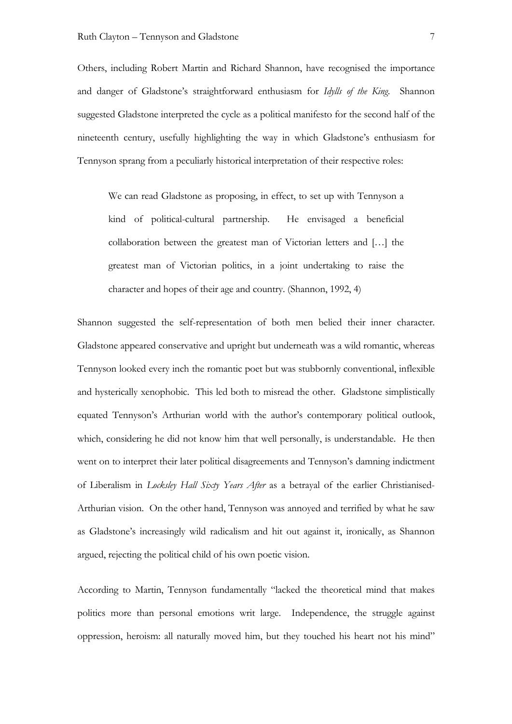Others, including Robert Martin and Richard Shannon, have recognised the importance and danger of Gladstone's straightforward enthusiasm for *Idylls of the King*. Shannon suggested Gladstone interpreted the cycle as a political manifesto for the second half of the nineteenth century, usefully highlighting the way in which Gladstone's enthusiasm for Tennyson sprang from a peculiarly historical interpretation of their respective roles:

We can read Gladstone as proposing, in effect, to set up with Tennyson a kind of political-cultural partnership. He envisaged a beneficial collaboration between the greatest man of Victorian letters and […] the greatest man of Victorian politics, in a joint undertaking to raise the character and hopes of their age and country. (Shannon, 1992, 4)

Shannon suggested the self-representation of both men belied their inner character. Gladstone appeared conservative and upright but underneath was a wild romantic, whereas Tennyson looked every inch the romantic poet but was stubbornly conventional, inflexible and hysterically xenophobic. This led both to misread the other. Gladstone simplistically equated Tennyson's Arthurian world with the author's contemporary political outlook, which, considering he did not know him that well personally, is understandable. He then went on to interpret their later political disagreements and Tennyson's damning indictment of Liberalism in *Locksley Hall Sixty Years After* as a betrayal of the earlier Christianised-Arthurian vision. On the other hand, Tennyson was annoyed and terrified by what he saw as Gladstone's increasingly wild radicalism and hit out against it, ironically, as Shannon argued, rejecting the political child of his own poetic vision.

According to Martin, Tennyson fundamentally "lacked the theoretical mind that makes politics more than personal emotions writ large. Independence, the struggle against oppression, heroism: all naturally moved him, but they touched his heart not his mind"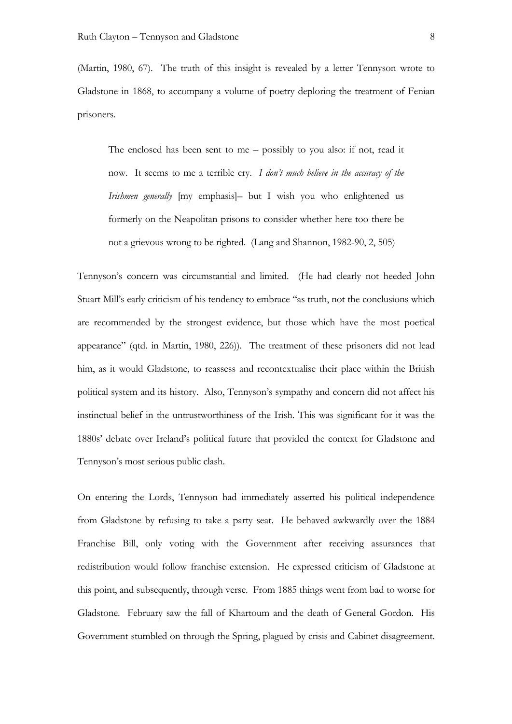(Martin, 1980, 67). The truth of this insight is revealed by a letter Tennyson wrote to Gladstone in 1868, to accompany a volume of poetry deploring the treatment of Fenian prisoners.

The enclosed has been sent to me – possibly to you also: if not, read it now. It seems to me a terrible cry. *I don't much believe in the accuracy of the Irishmen generally* [my emphasis]– but I wish you who enlightened us formerly on the Neapolitan prisons to consider whether here too there be not a grievous wrong to be righted. (Lang and Shannon, 1982-90, 2, 505)

Tennyson's concern was circumstantial and limited. (He had clearly not heeded John Stuart Mill's early criticism of his tendency to embrace "as truth, not the conclusions which are recommended by the strongest evidence, but those which have the most poetical appearance" (qtd. in Martin, 1980, 226)). The treatment of these prisoners did not lead him, as it would Gladstone, to reassess and recontextualise their place within the British political system and its history. Also, Tennyson's sympathy and concern did not affect his instinctual belief in the untrustworthiness of the Irish. This was significant for it was the 1880s' debate over Ireland's political future that provided the context for Gladstone and Tennyson's most serious public clash.

On entering the Lords, Tennyson had immediately asserted his political independence from Gladstone by refusing to take a party seat. He behaved awkwardly over the 1884 Franchise Bill, only voting with the Government after receiving assurances that redistribution would follow franchise extension. He expressed criticism of Gladstone at this point, and subsequently, through verse. From 1885 things went from bad to worse for Gladstone. February saw the fall of Khartoum and the death of General Gordon. His Government stumbled on through the Spring, plagued by crisis and Cabinet disagreement.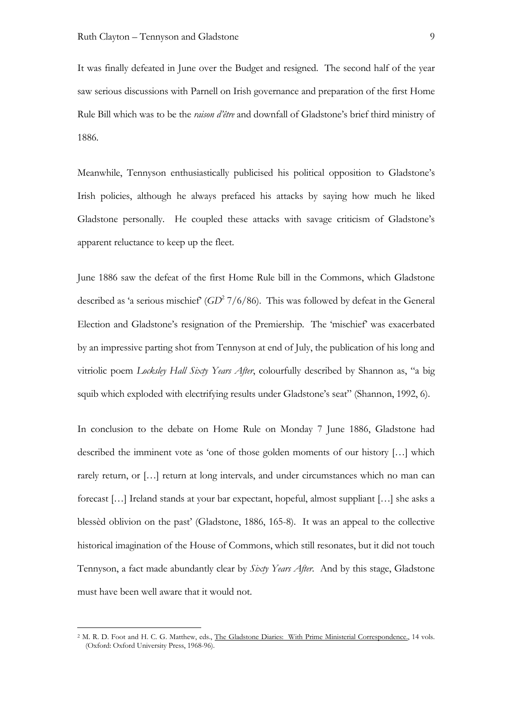It was finally defeated in June over the Budget and resigned. The second half of the year saw serious discussions with Parnell on Irish governance and preparation of the first Home Rule Bill which was to be the *raison d'être* and downfall of Gladstone's brief third ministry of 1886.

Meanwhile, Tennyson enthusiastically publicised his political opposition to Gladstone's Irish policies, although he always prefaced his attacks by saying how much he liked Gladstone personally. He coupled these attacks with savage criticism of Gladstone's apparent reluctance to keep up the fleet.

June 1886 saw the defeat of the first Home Rule bill in the Commons, which Gladstone described as 'a serious mischief' (*GD*<sup>2</sup> 7/6/86). This was followed by defeat in the General Election and Gladstone's resignation of the Premiership. The 'mischief' was exacerbated by an impressive parting shot from Tennyson at end of July, the publication of his long and vitriolic poem *Locksley Hall Sixty Years After*, colourfully described by Shannon as, "a big squib which exploded with electrifying results under Gladstone's seat" (Shannon, 1992, 6).

In conclusion to the debate on Home Rule on Monday 7 June 1886, Gladstone had described the imminent vote as 'one of those golden moments of our history […] which rarely return, or […] return at long intervals, and under circumstances which no man can forecast […] Ireland stands at your bar expectant, hopeful, almost suppliant […] she asks a blessèd oblivion on the past' (Gladstone, 1886, 165-8). It was an appeal to the collective historical imagination of the House of Commons, which still resonates, but it did not touch Tennyson, a fact made abundantly clear by *Sixty Years After*. And by this stage, Gladstone must have been well aware that it would not.

 <sup>2</sup> M. R. D. Foot and H. C. G. Matthew, eds., The Gladstone Diaries: With Prime Ministerial Correspondence., 14 vols. (Oxford: Oxford University Press, 1968-96).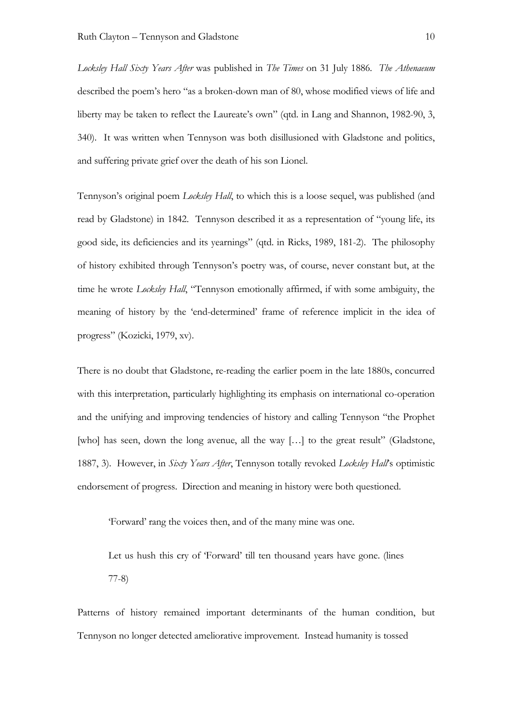*Locksley Hall Sixty Years After* was published in *The Times* on 31 July 1886*. The Athenaeum* described the poem's hero "as a broken-down man of 80, whose modified views of life and liberty may be taken to reflect the Laureate's own" (qtd. in Lang and Shannon, 1982-90, 3, 340). It was written when Tennyson was both disillusioned with Gladstone and politics, and suffering private grief over the death of his son Lionel.

Tennyson's original poem *Locksley Hall*, to which this is a loose sequel, was published (and read by Gladstone) in 1842. Tennyson described it as a representation of "young life, its good side, its deficiencies and its yearnings" (qtd. in Ricks, 1989, 181-2). The philosophy of history exhibited through Tennyson's poetry was, of course, never constant but, at the time he wrote *Locksley Hall*, "Tennyson emotionally affirmed, if with some ambiguity, the meaning of history by the 'end-determined' frame of reference implicit in the idea of progress" (Kozicki, 1979, xv).

There is no doubt that Gladstone, re-reading the earlier poem in the late 1880s, concurred with this interpretation, particularly highlighting its emphasis on international co-operation and the unifying and improving tendencies of history and calling Tennyson "the Prophet [who] has seen, down the long avenue, all the way [...] to the great result" (Gladstone, 1887, 3). However, in *Sixty Years After*, Tennyson totally revoked *Locksley Hall*'s optimistic endorsement of progress. Direction and meaning in history were both questioned.

'Forward' rang the voices then, and of the many mine was one.

Let us hush this cry of 'Forward' till ten thousand years have gone. (lines 77-8)

Patterns of history remained important determinants of the human condition, but Tennyson no longer detected ameliorative improvement. Instead humanity is tossed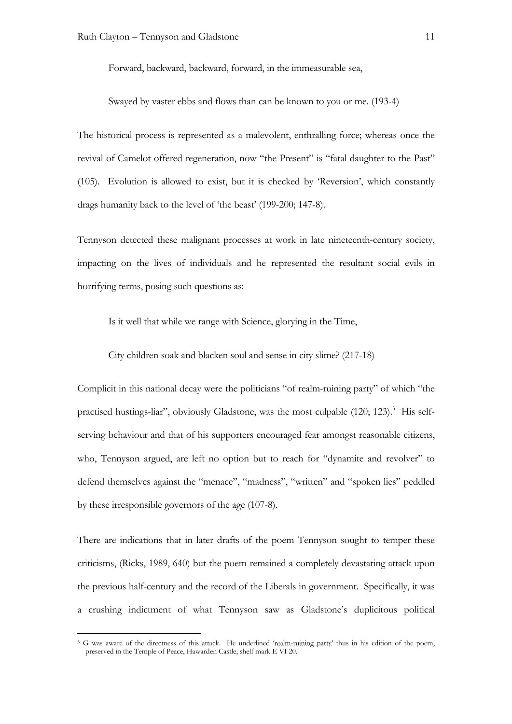Forward, backward, backward, forward, in the immeasurable sea,

Swayed by vaster ebbs and flows than can be known to you or me. (193-4)

The historical process is represented as a malevolent, enthralling force; whereas once the revival of Camelot offered regeneration, now "the Present" is "fatal daughter to the Past" (105). Evolution is allowed to exist, but it is checked by 'Reversion', which constantly drags humanity back to the level of 'the beast' (199-200; 147-8).

Tennyson detected these malignant processes at work in late nineteenth-century society, impacting on the lives of individuals and he represented the resultant social evils in horrifying terms, posing such questions as:

Is it well that while we range with Science, glorying in the Time,

City children soak and blacken soul and sense in city slime? (217-18)

Complicit in this national decay were the politicians "of realm-ruining party" of which "the practised hustings-liar", obviously Gladstone, was the most culpable (120; 123).<sup>3</sup> His selfserving behaviour and that of his supporters encouraged fear amongst reasonable citizens, who, Tennyson argued, are left no option but to reach for "dynamite and revolver" to defend themselves against the "menace", "madness", "written" and "spoken lies" peddled by these irresponsible governors of the age (107-8).

There are indications that in later drafts of the poem Tennyson sought to temper these criticisms, (Ricks, 1989, 640) but the poem remained a completely devastating attack upon the previous half-century and the record of the Liberals in government. Specifically, it was a crushing indictment of what Tennyson saw as Gladstone's duplicitous political

<sup>&</sup>lt;sup>3</sup> G was aware of the directness of this attack. He underlined 'realm-ruining party' thus in his edition of the poem, preserved in the Temple of Peace, Hawarden Castle, shelf mark E VI 20.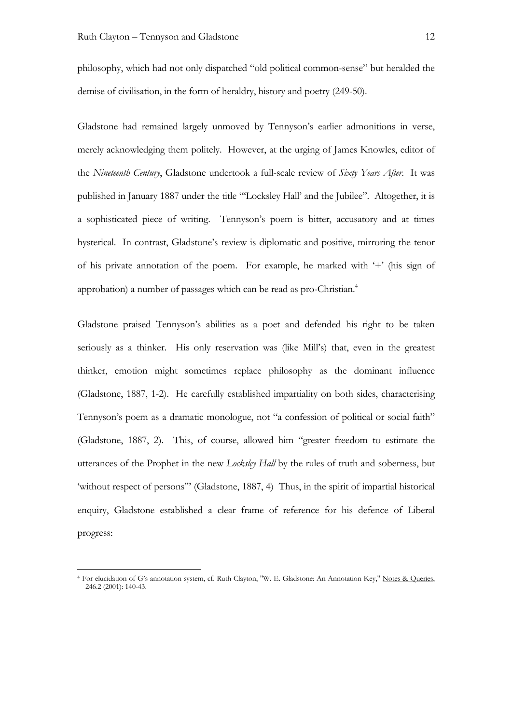philosophy, which had not only dispatched "old political common-sense" but heralded the demise of civilisation, in the form of heraldry, history and poetry (249-50).

Gladstone had remained largely unmoved by Tennyson's earlier admonitions in verse, merely acknowledging them politely. However, at the urging of James Knowles, editor of the *Nineteenth Century*, Gladstone undertook a full-scale review of *Sixty Years After*. It was published in January 1887 under the title "'Locksley Hall' and the Jubilee". Altogether, it is a sophisticated piece of writing. Tennyson's poem is bitter, accusatory and at times hysterical. In contrast, Gladstone's review is diplomatic and positive, mirroring the tenor of his private annotation of the poem. For example, he marked with '+' (his sign of approbation) a number of passages which can be read as pro-Christian.4

Gladstone praised Tennyson's abilities as a poet and defended his right to be taken seriously as a thinker. His only reservation was (like Mill's) that, even in the greatest thinker, emotion might sometimes replace philosophy as the dominant influence (Gladstone, 1887, 1-2). He carefully established impartiality on both sides, characterising Tennyson's poem as a dramatic monologue, not "a confession of political or social faith" (Gladstone, 1887, 2). This, of course, allowed him "greater freedom to estimate the utterances of the Prophet in the new *Locksley Hall* by the rules of truth and soberness, but 'without respect of persons'" (Gladstone, 1887, 4) Thus, in the spirit of impartial historical enquiry, Gladstone established a clear frame of reference for his defence of Liberal progress:

 <sup>4</sup> For elucidation of G's annotation system, cf. Ruth Clayton, "W. E. Gladstone: An Annotation Key," Notes & Queries, 246.2 (2001): 140-43.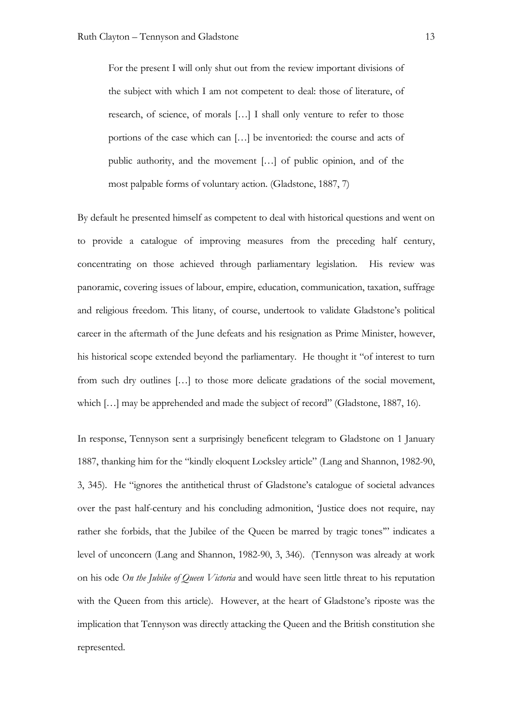For the present I will only shut out from the review important divisions of the subject with which I am not competent to deal: those of literature, of research, of science, of morals […] I shall only venture to refer to those portions of the case which can […] be inventoried: the course and acts of public authority, and the movement […] of public opinion, and of the most palpable forms of voluntary action. (Gladstone, 1887, 7)

By default he presented himself as competent to deal with historical questions and went on to provide a catalogue of improving measures from the preceding half century, concentrating on those achieved through parliamentary legislation. His review was panoramic, covering issues of labour, empire, education, communication, taxation, suffrage and religious freedom. This litany, of course, undertook to validate Gladstone's political career in the aftermath of the June defeats and his resignation as Prime Minister, however, his historical scope extended beyond the parliamentary. He thought it "of interest to turn from such dry outlines […] to those more delicate gradations of the social movement, which [...] may be apprehended and made the subject of record" (Gladstone, 1887, 16).

In response, Tennyson sent a surprisingly beneficent telegram to Gladstone on 1 January 1887, thanking him for the "kindly eloquent Locksley article" (Lang and Shannon, 1982-90, 3, 345). He "ignores the antithetical thrust of Gladstone's catalogue of societal advances over the past half-century and his concluding admonition, 'Justice does not require, nay rather she forbids, that the Jubilee of the Queen be marred by tragic tones'" indicates a level of unconcern (Lang and Shannon, 1982-90, 3, 346). (Tennyson was already at work on his ode *On the Jubilee of Queen Victoria* and would have seen little threat to his reputation with the Queen from this article). However, at the heart of Gladstone's riposte was the implication that Tennyson was directly attacking the Queen and the British constitution she represented.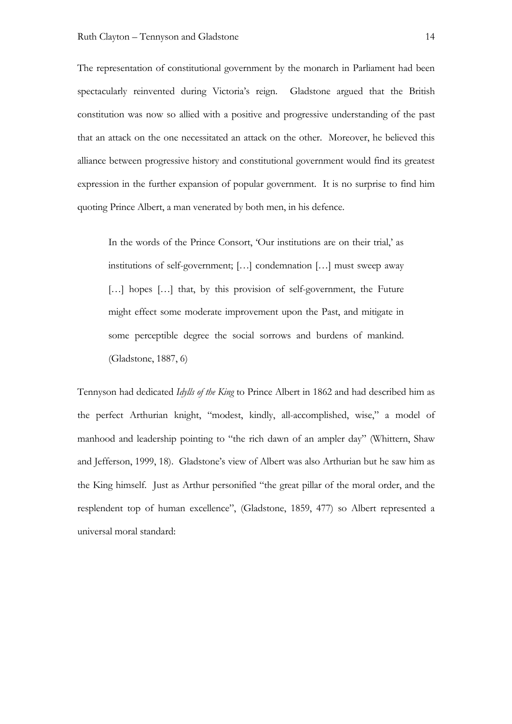The representation of constitutional government by the monarch in Parliament had been spectacularly reinvented during Victoria's reign. Gladstone argued that the British constitution was now so allied with a positive and progressive understanding of the past that an attack on the one necessitated an attack on the other. Moreover, he believed this alliance between progressive history and constitutional government would find its greatest expression in the further expansion of popular government. It is no surprise to find him quoting Prince Albert, a man venerated by both men, in his defence.

In the words of the Prince Consort, 'Our institutions are on their trial,' as institutions of self-government; […] condemnation […] must sweep away [...] hopes [...] that, by this provision of self-government, the Future might effect some moderate improvement upon the Past, and mitigate in some perceptible degree the social sorrows and burdens of mankind. (Gladstone, 1887, 6)

Tennyson had dedicated *Idylls of the King* to Prince Albert in 1862 and had described him as the perfect Arthurian knight, "modest, kindly, all-accomplished, wise," a model of manhood and leadership pointing to "the rich dawn of an ampler day" (Whittern, Shaw and Jefferson, 1999, 18). Gladstone's view of Albert was also Arthurian but he saw him as the King himself. Just as Arthur personified "the great pillar of the moral order, and the resplendent top of human excellence", (Gladstone, 1859, 477) so Albert represented a universal moral standard: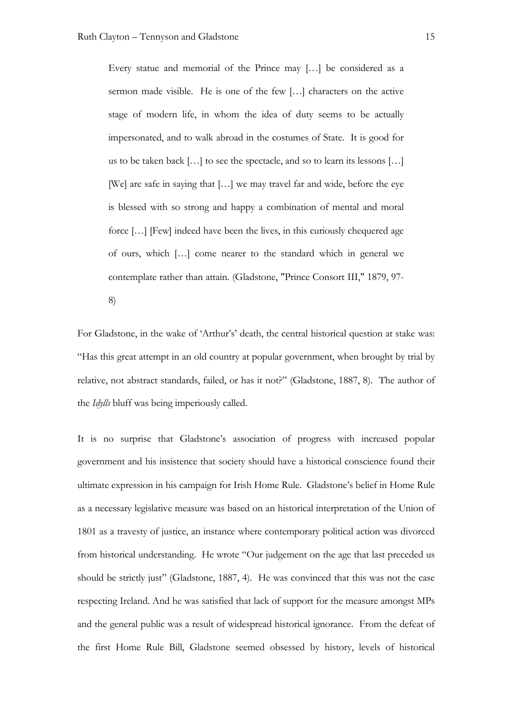Every statue and memorial of the Prince may […] be considered as a sermon made visible. He is one of the few […] characters on the active stage of modern life, in whom the idea of duty seems to be actually impersonated, and to walk abroad in the costumes of State. It is good for us to be taken back […] to see the spectacle, and so to learn its lessons […] [We] are safe in saying that [...] we may travel far and wide, before the eye is blessed with so strong and happy a combination of mental and moral force […] [Few] indeed have been the lives, in this curiously chequered age of ours, which […] come nearer to the standard which in general we contemplate rather than attain. (Gladstone, "Prince Consort III," 1879, 97-

8)

For Gladstone, in the wake of 'Arthur's' death, the central historical question at stake was: "Has this great attempt in an old country at popular government, when brought by trial by relative, not abstract standards, failed, or has it not?" (Gladstone, 1887, 8). The author of the *Idylls* bluff was being imperiously called.

It is no surprise that Gladstone's association of progress with increased popular government and his insistence that society should have a historical conscience found their ultimate expression in his campaign for Irish Home Rule. Gladstone's belief in Home Rule as a necessary legislative measure was based on an historical interpretation of the Union of 1801 as a travesty of justice, an instance where contemporary political action was divorced from historical understanding. He wrote "Our judgement on the age that last preceded us should be strictly just" (Gladstone, 1887, 4). He was convinced that this was not the case respecting Ireland. And he was satisfied that lack of support for the measure amongst MPs and the general public was a result of widespread historical ignorance. From the defeat of the first Home Rule Bill, Gladstone seemed obsessed by history, levels of historical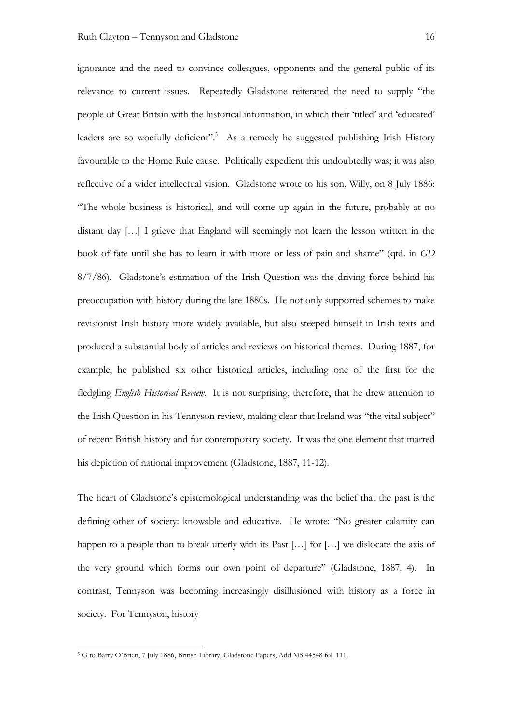ignorance and the need to convince colleagues, opponents and the general public of its relevance to current issues. Repeatedly Gladstone reiterated the need to supply "the people of Great Britain with the historical information, in which their 'titled' and 'educated' leaders are so woefully deficient".<sup>5</sup> As a remedy he suggested publishing Irish History favourable to the Home Rule cause. Politically expedient this undoubtedly was; it was also reflective of a wider intellectual vision. Gladstone wrote to his son, Willy, on 8 July 1886: "The whole business is historical, and will come up again in the future, probably at no distant day […] I grieve that England will seemingly not learn the lesson written in the book of fate until she has to learn it with more or less of pain and shame" (qtd. in *GD* 8/7/86). Gladstone's estimation of the Irish Question was the driving force behind his preoccupation with history during the late 1880s. He not only supported schemes to make revisionist Irish history more widely available, but also steeped himself in Irish texts and produced a substantial body of articles and reviews on historical themes. During 1887, for example, he published six other historical articles, including one of the first for the fledgling *English Historical Review*. It is not surprising, therefore, that he drew attention to the Irish Question in his Tennyson review, making clear that Ireland was "the vital subject" of recent British history and for contemporary society. It was the one element that marred his depiction of national improvement (Gladstone, 1887, 11-12).

The heart of Gladstone's epistemological understanding was the belief that the past is the defining other of society: knowable and educative. He wrote: "No greater calamity can happen to a people than to break utterly with its Past [...] for [...] we dislocate the axis of the very ground which forms our own point of departure" (Gladstone, 1887, 4). In contrast, Tennyson was becoming increasingly disillusioned with history as a force in society. For Tennyson, history

 <sup>5</sup> G to Barry O'Brien, 7 July 1886, British Library, Gladstone Papers, Add MS 44548 fol. 111.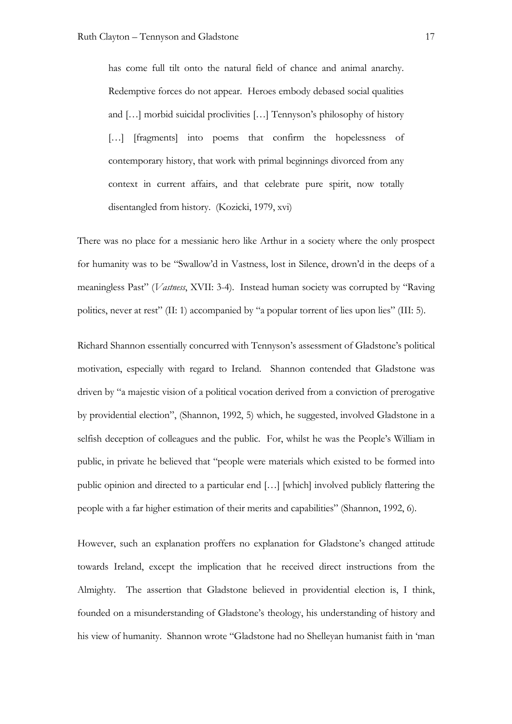has come full tilt onto the natural field of chance and animal anarchy. Redemptive forces do not appear. Heroes embody debased social qualities and […] morbid suicidal proclivities […] Tennyson's philosophy of history [...] [fragments] into poems that confirm the hopelessness of contemporary history, that work with primal beginnings divorced from any context in current affairs, and that celebrate pure spirit, now totally disentangled from history. (Kozicki, 1979, xvi)

There was no place for a messianic hero like Arthur in a society where the only prospect for humanity was to be "Swallow'd in Vastness, lost in Silence, drown'd in the deeps of a meaningless Past" (*Vastness*, XVII: 3-4). Instead human society was corrupted by "Raving politics, never at rest" (II: 1) accompanied by "a popular torrent of lies upon lies" (III: 5).

Richard Shannon essentially concurred with Tennyson's assessment of Gladstone's political motivation, especially with regard to Ireland. Shannon contended that Gladstone was driven by "a majestic vision of a political vocation derived from a conviction of prerogative by providential election", (Shannon, 1992, 5) which, he suggested, involved Gladstone in a selfish deception of colleagues and the public. For, whilst he was the People's William in public, in private he believed that "people were materials which existed to be formed into public opinion and directed to a particular end […] [which] involved publicly flattering the people with a far higher estimation of their merits and capabilities" (Shannon, 1992, 6).

However, such an explanation proffers no explanation for Gladstone's changed attitude towards Ireland, except the implication that he received direct instructions from the Almighty. The assertion that Gladstone believed in providential election is, I think, founded on a misunderstanding of Gladstone's theology, his understanding of history and his view of humanity. Shannon wrote "Gladstone had no Shelleyan humanist faith in 'man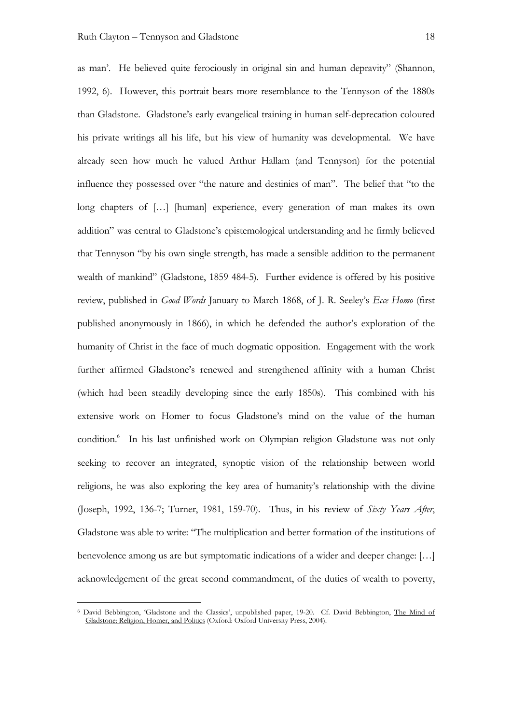as man'. He believed quite ferociously in original sin and human depravity" (Shannon, 1992, 6). However, this portrait bears more resemblance to the Tennyson of the 1880s than Gladstone. Gladstone's early evangelical training in human self-deprecation coloured his private writings all his life, but his view of humanity was developmental. We have already seen how much he valued Arthur Hallam (and Tennyson) for the potential influence they possessed over "the nature and destinies of man". The belief that "to the long chapters of [...] [human] experience, every generation of man makes its own addition" was central to Gladstone's epistemological understanding and he firmly believed that Tennyson "by his own single strength, has made a sensible addition to the permanent wealth of mankind" (Gladstone, 1859 484-5). Further evidence is offered by his positive review, published in *Good Words* January to March 1868, of J. R. Seeley's *Ecce Homo* (first published anonymously in 1866), in which he defended the author's exploration of the humanity of Christ in the face of much dogmatic opposition. Engagement with the work further affirmed Gladstone's renewed and strengthened affinity with a human Christ (which had been steadily developing since the early 1850s). This combined with his extensive work on Homer to focus Gladstone's mind on the value of the human condition. 6 In his last unfinished work on Olympian religion Gladstone was not only seeking to recover an integrated, synoptic vision of the relationship between world religions, he was also exploring the key area of humanity's relationship with the divine (Joseph, 1992, 136-7; Turner, 1981, 159-70). Thus, in his review of *Sixty Years After*, Gladstone was able to write: "The multiplication and better formation of the institutions of benevolence among us are but symptomatic indications of a wider and deeper change: […] acknowledgement of the great second commandment, of the duties of wealth to poverty,

 <sup>6</sup> David Bebbington, 'Gladstone and the Classics', unpublished paper, 19-20. Cf. David Bebbington, The Mind of Gladstone: Religion, Homer, and Politics (Oxford: Oxford University Press, 2004).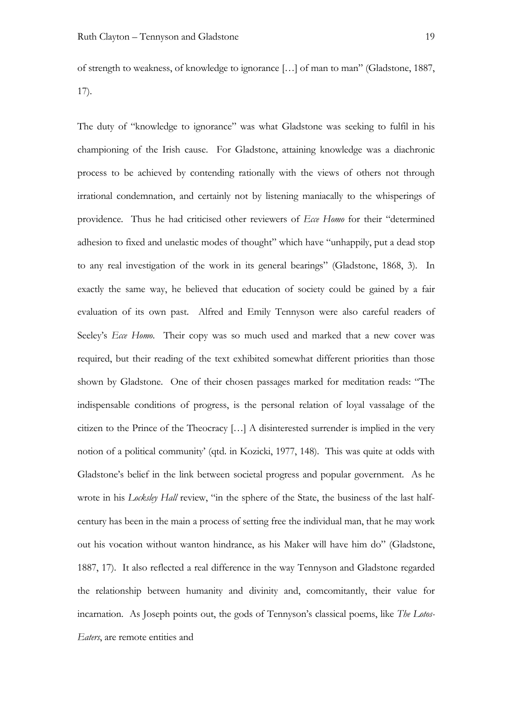of strength to weakness, of knowledge to ignorance […] of man to man" (Gladstone, 1887, 17).

The duty of "knowledge to ignorance" was what Gladstone was seeking to fulfil in his championing of the Irish cause. For Gladstone, attaining knowledge was a diachronic process to be achieved by contending rationally with the views of others not through irrational condemnation, and certainly not by listening maniacally to the whisperings of providence. Thus he had criticised other reviewers of *Ecce Homo* for their "determined adhesion to fixed and unelastic modes of thought" which have "unhappily, put a dead stop to any real investigation of the work in its general bearings" (Gladstone, 1868, 3). In exactly the same way, he believed that education of society could be gained by a fair evaluation of its own past. Alfred and Emily Tennyson were also careful readers of Seeley's *Ecce Homo*. Their copy was so much used and marked that a new cover was required, but their reading of the text exhibited somewhat different priorities than those shown by Gladstone. One of their chosen passages marked for meditation reads: "The indispensable conditions of progress, is the personal relation of loyal vassalage of the citizen to the Prince of the Theocracy […] A disinterested surrender is implied in the very notion of a political community' (qtd. in Kozicki, 1977, 148). This was quite at odds with Gladstone's belief in the link between societal progress and popular government. As he wrote in his *Locksley Hall* review, "in the sphere of the State, the business of the last halfcentury has been in the main a process of setting free the individual man, that he may work out his vocation without wanton hindrance, as his Maker will have him do" (Gladstone, 1887, 17). It also reflected a real difference in the way Tennyson and Gladstone regarded the relationship between humanity and divinity and, comcomitantly, their value for incarnation. As Joseph points out, the gods of Tennyson's classical poems, like *The Lotos-Eaters*, are remote entities and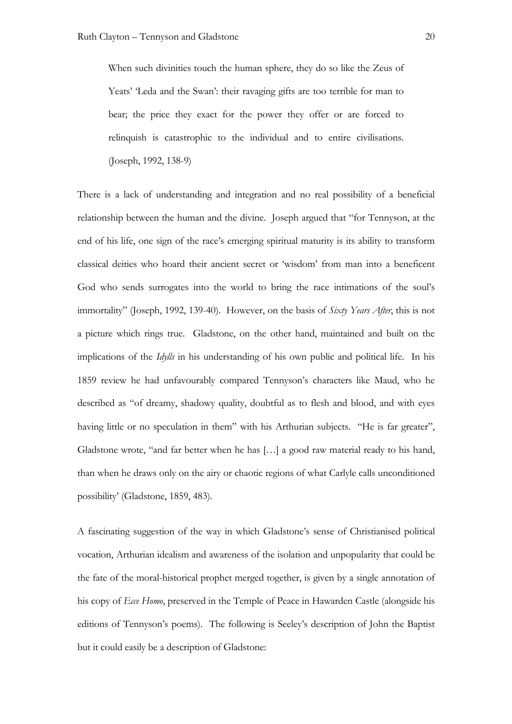When such divinities touch the human sphere, they do so like the Zeus of Yeats' 'Leda and the Swan': their ravaging gifts are too terrible for man to bear; the price they exact for the power they offer or are forced to relinquish is catastrophic to the individual and to entire civilisations. (Joseph, 1992, 138-9)

There is a lack of understanding and integration and no real possibility of a beneficial relationship between the human and the divine. Joseph argued that "for Tennyson, at the end of his life, one sign of the race's emerging spiritual maturity is its ability to transform classical deities who hoard their ancient secret or 'wisdom' from man into a beneficent God who sends surrogates into the world to bring the race intimations of the soul's immortality" (Joseph, 1992, 139-40). However, on the basis of *Sixty Years After*, this is not a picture which rings true. Gladstone, on the other hand, maintained and built on the implications of the *Idylls* in his understanding of his own public and political life. In his 1859 review he had unfavourably compared Tennyson's characters like Maud, who he described as "of dreamy, shadowy quality, doubtful as to flesh and blood, and with eyes having little or no speculation in them" with his Arthurian subjects. "He is far greater", Gladstone wrote, "and far better when he has […] a good raw material ready to his hand, than when he draws only on the airy or chaotic regions of what Carlyle calls unconditioned possibility' (Gladstone, 1859, 483).

A fascinating suggestion of the way in which Gladstone's sense of Christianised political vocation, Arthurian idealism and awareness of the isolation and unpopularity that could be the fate of the moral-historical prophet merged together, is given by a single annotation of his copy of *Ecce Homo*, preserved in the Temple of Peace in Hawarden Castle (alongside his editions of Tennyson's poems). The following is Seeley's description of John the Baptist but it could easily be a description of Gladstone: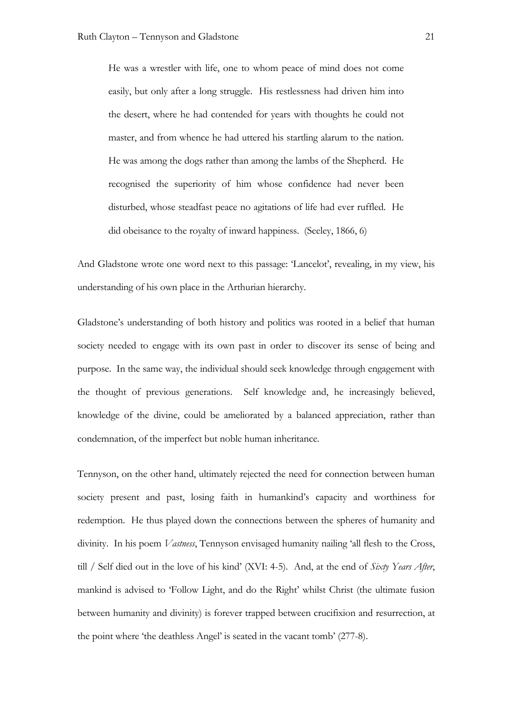He was a wrestler with life, one to whom peace of mind does not come easily, but only after a long struggle. His restlessness had driven him into the desert, where he had contended for years with thoughts he could not master, and from whence he had uttered his startling alarum to the nation. He was among the dogs rather than among the lambs of the Shepherd. He recognised the superiority of him whose confidence had never been disturbed, whose steadfast peace no agitations of life had ever ruffled. He did obeisance to the royalty of inward happiness. (Seeley, 1866, 6)

And Gladstone wrote one word next to this passage: 'Lancelot', revealing, in my view, his understanding of his own place in the Arthurian hierarchy.

Gladstone's understanding of both history and politics was rooted in a belief that human society needed to engage with its own past in order to discover its sense of being and purpose. In the same way, the individual should seek knowledge through engagement with the thought of previous generations. Self knowledge and, he increasingly believed, knowledge of the divine, could be ameliorated by a balanced appreciation, rather than condemnation, of the imperfect but noble human inheritance.

Tennyson, on the other hand, ultimately rejected the need for connection between human society present and past, losing faith in humankind's capacity and worthiness for redemption. He thus played down the connections between the spheres of humanity and divinity. In his poem *Vastness*, Tennyson envisaged humanity nailing 'all flesh to the Cross, till / Self died out in the love of his kind' (XVI: 4-5). And, at the end of *Sixty Years After*, mankind is advised to 'Follow Light, and do the Right' whilst Christ (the ultimate fusion between humanity and divinity) is forever trapped between crucifixion and resurrection, at the point where 'the deathless Angel' is seated in the vacant tomb' (277-8).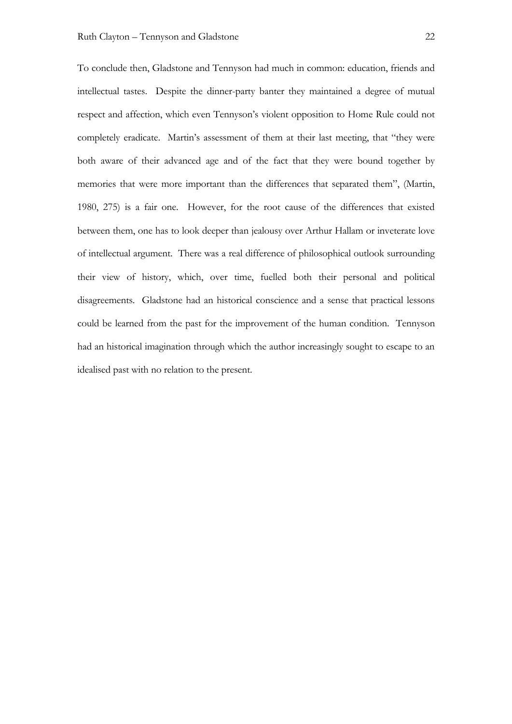To conclude then, Gladstone and Tennyson had much in common: education, friends and intellectual tastes. Despite the dinner-party banter they maintained a degree of mutual respect and affection, which even Tennyson's violent opposition to Home Rule could not completely eradicate. Martin's assessment of them at their last meeting, that "they were both aware of their advanced age and of the fact that they were bound together by memories that were more important than the differences that separated them", (Martin, 1980, 275) is a fair one. However, for the root cause of the differences that existed between them, one has to look deeper than jealousy over Arthur Hallam or inveterate love of intellectual argument. There was a real difference of philosophical outlook surrounding their view of history, which, over time, fuelled both their personal and political disagreements. Gladstone had an historical conscience and a sense that practical lessons could be learned from the past for the improvement of the human condition. Tennyson had an historical imagination through which the author increasingly sought to escape to an idealised past with no relation to the present.